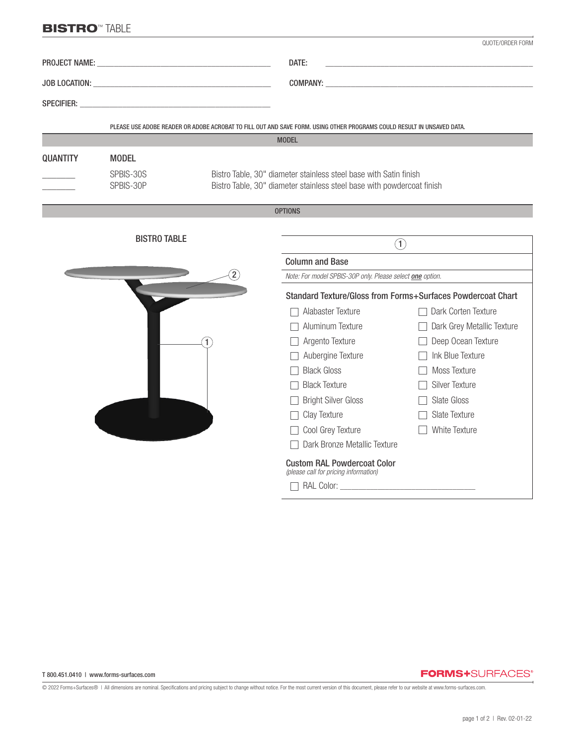## **BISTRO<sup>™</sup> TABLE**

|                 |                                                                             |                                                                                                                                             |                                                                                                                        | QUOTE/ORDER FORM           |  |
|-----------------|-----------------------------------------------------------------------------|---------------------------------------------------------------------------------------------------------------------------------------------|------------------------------------------------------------------------------------------------------------------------|----------------------------|--|
|                 |                                                                             |                                                                                                                                             | DATE:                                                                                                                  |                            |  |
|                 |                                                                             |                                                                                                                                             |                                                                                                                        |                            |  |
|                 |                                                                             |                                                                                                                                             |                                                                                                                        |                            |  |
|                 |                                                                             |                                                                                                                                             | PLEASE USE ADOBE READER OR ADOBE ACROBAT TO FILL OUT AND SAVE FORM. USING OTHER PROGRAMS COULD RESULT IN UNSAVED DATA. |                            |  |
|                 |                                                                             |                                                                                                                                             | <b>MODEL</b>                                                                                                           |                            |  |
| <b>QUANTITY</b> | <b>MODEL</b>                                                                |                                                                                                                                             |                                                                                                                        |                            |  |
|                 | SPBIS-30S<br>SPBIS-30P                                                      | Bistro Table, 30" diameter stainless steel base with Satin finish<br>Bistro Table, 30" diameter stainless steel base with powdercoat finish |                                                                                                                        |                            |  |
|                 |                                                                             |                                                                                                                                             | <b>OPTIONS</b>                                                                                                         |                            |  |
|                 |                                                                             |                                                                                                                                             |                                                                                                                        |                            |  |
|                 | <b>BISTRO TABLE</b>                                                         |                                                                                                                                             | $\left( 1\right)$                                                                                                      |                            |  |
|                 |                                                                             |                                                                                                                                             | <b>Column and Base</b>                                                                                                 |                            |  |
|                 |                                                                             |                                                                                                                                             | Note: For model SPBIS-30P only. Please select one option.                                                              |                            |  |
|                 |                                                                             |                                                                                                                                             | Standard Texture/Gloss from Forms+Surfaces Powdercoat Chart                                                            |                            |  |
|                 |                                                                             |                                                                                                                                             | Alabaster Texture                                                                                                      | Dark Corten Texture        |  |
|                 |                                                                             |                                                                                                                                             | Aluminum Texture                                                                                                       | Dark Grey Metallic Texture |  |
|                 |                                                                             |                                                                                                                                             | Argento Texture                                                                                                        | Deep Ocean Texture         |  |
|                 |                                                                             |                                                                                                                                             | Aubergine Texture                                                                                                      | $\Box$ Ink Blue Texture    |  |
|                 |                                                                             |                                                                                                                                             | <b>Black Gloss</b>                                                                                                     | <b>Moss Texture</b>        |  |
|                 |                                                                             |                                                                                                                                             | <b>Black Texture</b>                                                                                                   | Silver Texture             |  |
|                 |                                                                             |                                                                                                                                             | Bright Silver Gloss                                                                                                    | Slate Gloss                |  |
|                 |                                                                             |                                                                                                                                             | Clay Texture                                                                                                           | Slate Texture              |  |
|                 |                                                                             |                                                                                                                                             | □ Cool Grey Texture                                                                                                    | <b>White Texture</b>       |  |
|                 |                                                                             |                                                                                                                                             | Dark Bronze Metallic Texture                                                                                           |                            |  |
|                 | <b>Custom RAL Powdercoat Color</b><br>(please call for pricing information) |                                                                                                                                             |                                                                                                                        |                            |  |
|                 |                                                                             |                                                                                                                                             |                                                                                                                        |                            |  |

## **FORMS+**SURFACES®

© 2022 Forms+Surfaces® | All dimensions are nominal. Specifications and pricing subject to change without notice. For the most current version of this document, please refer to our website at www.forms-surfaces.com.